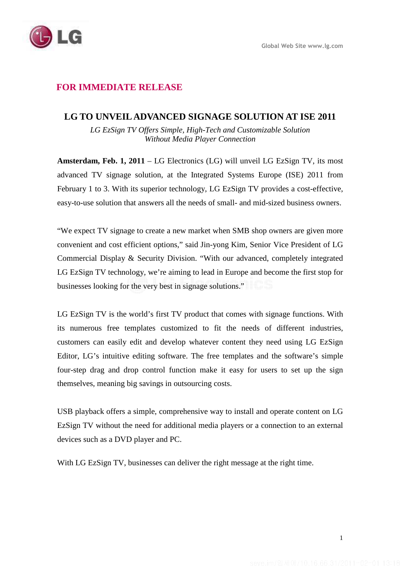# **FOR IMMEDIATE RELEASE**

### **LG TO UNVEIL ADVANCED SIGNAGE SOLUTION AT ISE 2011**

*LG EzSign TV Offers Simple, High-Tech and Customizable Solution Without Media Player Connection* 

**Amsterdam, Feb. 1, 2011** – LG Electronics (LG) will unveil LG EzSign TV, its most advanced TV signage solution, at the Integrated Systems Europe (ISE) 2011 from February 1 to 3. With its superior technology, LG EzSign TV provides a cost-effective, easy-to-use solution that answers all the needs of small- and mid-sized business owners.

"We expect TV signage to create a new market when SMB shop owners are given more convenient and cost efficient options," said Jin-yong Kim, Senior Vice President of LG Commercial Display & Security Division. "With our advanced, completely integrated LG EzSign TV technology, we're aiming to lead in Europe and become the first stop for businesses looking for the very best in signage solutions."

LG EzSign TV is the world's first TV product that comes with signage functions. With its numerous free templates customized to fit the needs of different industries, customers can easily edit and develop whatever content they need using LG EzSign Editor, LG's intuitive editing software. The free templates and the software's simple four-step drag and drop control function make it easy for users to set up the sign themselves, meaning big savings in outsourcing costs.

USB playback offers a simple, comprehensive way to install and operate content on LG EzSign TV without the need for additional media players or a connection to an external devices such as a DVD player and PC.

With LG EzSign TV, businesses can deliver the right message at the right time.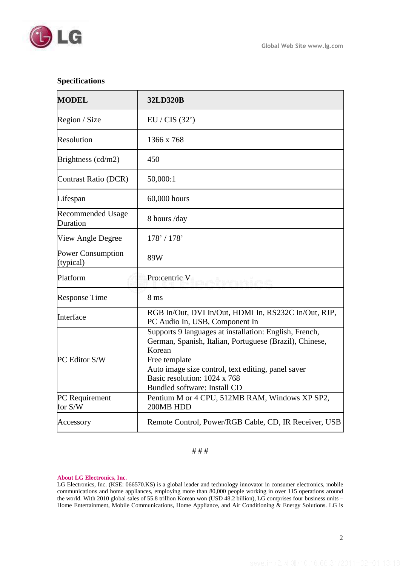

## **Specifications**

| <b>MODEL</b>                          | <b>32LD320B</b>                                                                                                                                                                                                                                                    |
|---------------------------------------|--------------------------------------------------------------------------------------------------------------------------------------------------------------------------------------------------------------------------------------------------------------------|
| Region / Size                         | EU / CIS (32')                                                                                                                                                                                                                                                     |
| Resolution                            | 1366 x 768                                                                                                                                                                                                                                                         |
| Brightness $(cd/m2)$                  | 450                                                                                                                                                                                                                                                                |
| Contrast Ratio (DCR)                  | 50,000:1                                                                                                                                                                                                                                                           |
| Lifespan                              | 60,000 hours                                                                                                                                                                                                                                                       |
| <b>Recommended Usage</b><br>Duration  | 8 hours /day                                                                                                                                                                                                                                                       |
| View Angle Degree                     | 178' / 178'                                                                                                                                                                                                                                                        |
| <b>Power Consumption</b><br>(typical) | 89W                                                                                                                                                                                                                                                                |
| Platform                              | Pro:centric V                                                                                                                                                                                                                                                      |
| <b>Response Time</b>                  | 8 <sub>ms</sub>                                                                                                                                                                                                                                                    |
| Interface                             | RGB In/Out, DVI In/Out, HDMI In, RS232C In/Out, RJP,<br>PC Audio In, USB, Component In                                                                                                                                                                             |
| PC Editor S/W                         | Supports 9 languages at installation: English, French,<br>German, Spanish, Italian, Portuguese (Brazil), Chinese,<br>Korean<br>Free template<br>Auto image size control, text editing, panel saver<br>Basic resolution: 1024 x 768<br>Bundled software: Install CD |
| PC Requirement<br>for S/W             | Pentium M or 4 CPU, 512MB RAM, Windows XP SP2,<br>200MB HDD                                                                                                                                                                                                        |
| Accessory                             | Remote Control, Power/RGB Cable, CD, IR Receiver, USB                                                                                                                                                                                                              |

#### # # #

#### **About LG Electronics, Inc.**

LG Electronics, Inc. (KSE: 066570.KS) is a global leader and technology innovator in consumer electronics, mobile communications and home appliances, employing more than 80,000 people working in over 115 operations around the world. With 2010 global sales of 55.8 trillion Korean won (USD 48.2 billion), LG comprises four business units – Home Entertainment, Mobile Communications, Home Appliance, and Air Conditioning & Energy Solutions. LG is